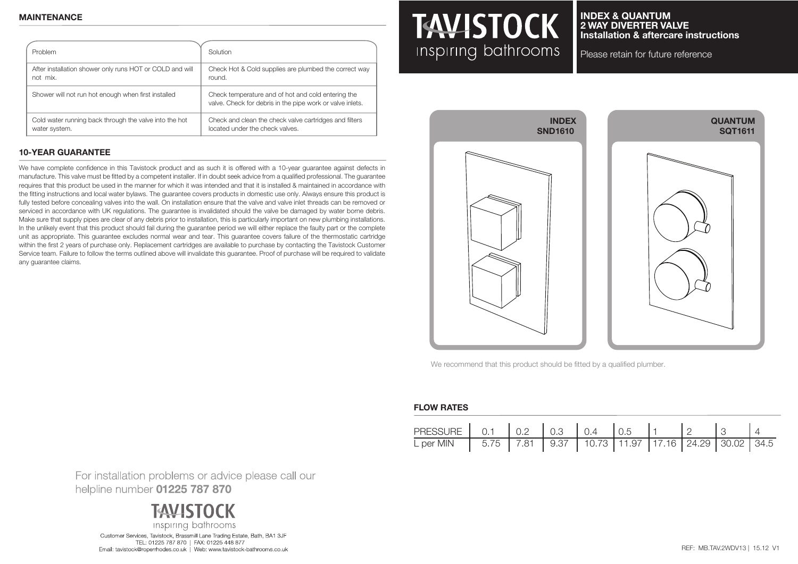| Problem                                                  | Solution                                                                                                        |
|----------------------------------------------------------|-----------------------------------------------------------------------------------------------------------------|
| After installation shower only runs HOT or COLD and will | Check Hot & Cold supplies are plumbed the correct way                                                           |
| not mix.                                                 | round.                                                                                                          |
| Shower will not run hot enough when first installed      | Check temperature and of hot and cold entering the<br>valve. Check for debris in the pipe work or valve inlets. |
| Cold water running back through the valve into the hot   | Check and clean the check valve cartridges and filters                                                          |
| water system.                                            | located under the check valves.                                                                                 |

### **10-YEAR GUARANTEE**

We have complete confidence in this Tavistock product and as such it is offered with a 10-year guarantee against defects in manufacture. This valve must be fitted by a competent installer. If in doubt seek advice from a qualified professional. The guarantee requires that this product be used in the manner for which it was intended and that it is installed & maintained in accordance with the fitting instructions and local water bylaws. The guarantee covers products in domestic use only. Always ensure this product is fully tested before concealing valves into the wall. On installation ensure that the valve and valve inlet threads can be removed or serviced in accordance with UK regulations. The guarantee is invalidated should the valve be damaged by water borne debris. Make sure that supply pipes are clear of any debris prior to installation, this is particularly important on new plumbing installations. In the unlikely event that this product should fail during the guarantee period we will either replace the faulty part or the complete unit as appropriate. This guarantee excludes normal wear and tear. This guarantee covers failure of the thermostatic cartridge within the first 2 years of purchase only. Replacement cartridges are available to purchase by contacting the Tavistock Customer Service team. Failure to follow the terms outlined above will invalidate this guarantee. Proof of purchase will be required to validate any guarantee claims.

# **TAVISTOCK** Inspiring bathrooms

#### **INDEX & QUANTUM 2 WAY DIVERTER VALVE Installation & aftercare instructions**

Please retain for future reference



We recommend that this product should be fitted by a qualified plumber.

#### **FLOW RATES**

| PRESSURE 0.1 0.2 0.3 0.4 0.5 1 2                                              |  |  |  |  |  |
|-------------------------------------------------------------------------------|--|--|--|--|--|
| L per MIN   5.75   7.81   9.37   10.73   11.97   17.16   24.29   30.02   34.5 |  |  |  |  |  |

For installation problems or advice please call our helpline number 01225 787 870



Customer Services, Tavistock, Brassmill Lane Trading Estate, Bath, BA1 3JF TEL: 01225 787 870 | FAX: 01225 448 877 Email: tavistock@roperrhodes.co.uk | Web: www.tavistock-bathrooms.co.uk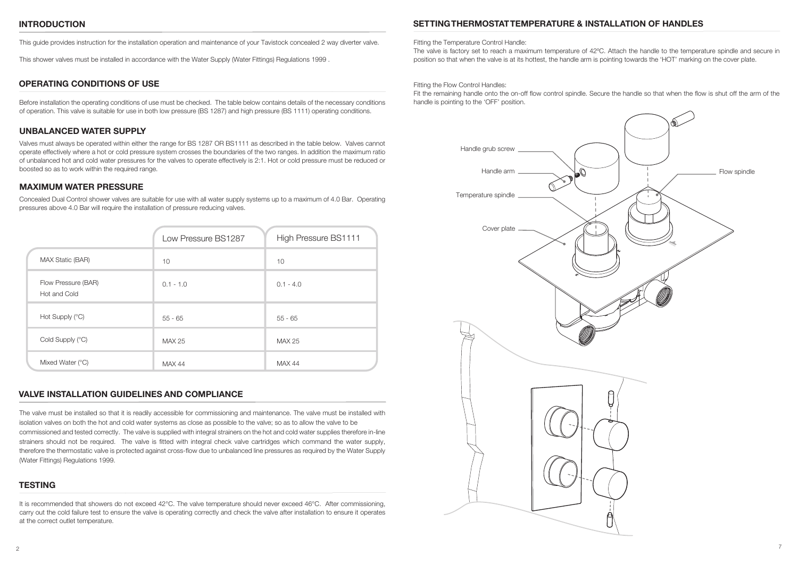#### **INTRODUCTION**

This guide provides instruction for the installation operation and maintenance of your Tavistock concealed 2 way diverter valve.

This shower valves must be installed in accordance with the Water Supply (Water Fittings) Regulations 1999 .

#### **OPERATING CONDITIONS OF USE**

Before installation the operating conditions of use must be checked. The table below contains details of the necessary conditions of operation. This valve is suitable for use in both low pressure (BS 1287) and high pressure (BS 1111) operating conditions.

#### **UNBALANCED WATER SUPPLY**

Valves must always be operated within either the range for BS 1287 OR BS1111 as described in the table below. Valves cannot operate effectively where a hot or cold pressure system crosses the boundaries of the two ranges. In addition the maximum ratio of unbalanced hot and cold water pressures for the valves to operate effectively is 2:1. Hot or cold pressure must be reduced or boosted so as to work within the required range.

#### **MAXIMUM WATER PRESSURE**

Concealed Dual Control shower valves are suitable for use with all water supply systems up to a maximum of 4.0 Bar. Operating pressures above 4.0 Bar will require the installation of pressure reducing valves.

|                                     | Low Pressure BS1287 | High Pressure BS1111 |
|-------------------------------------|---------------------|----------------------|
| MAX Static (BAR)                    | 10                  | 10                   |
| Flow Pressure (BAR)<br>Hot and Cold | $0.1 - 1.0$         | $0.1 - 4.0$          |
| Hot Supply (°C)                     | $55 - 65$           | $55 - 65$            |
| Cold Supply (°C)                    | MAX 25              | MAX 25               |
| Mixed Water (°C)                    | <b>MAX 44</b>       | <b>MAX 44</b>        |

## **VALVE INSTALLATION GUIDELINES AND COMPLIANCE**

The valve must be installed so that it is readily accessible for commissioning and maintenance. The valve must be installed with isolation valves on both the hot and cold water systems as close as possible to the valve; so as to allow the valve to be commissioned and tested correctly. The valve is supplied with integral strainers on the hot and cold water supplies therefore in-line strainers should not be required. The valve is fitted with integral check valve cartridges which command the water supply, therefore the thermostatic valve is protected against cross-flow due to unbalanced line pressures as required by the Water Supply (Water Fittings) Regulations 1999.

## **TESTING**

It is recommended that showers do not exceed 42°C. The valve temperature should never exceed 46°C. After commissioning, carry out the cold failure test to ensure the valve is operating correctly and check the valve after installation to ensure it operates at the correct outlet temperature.

#### **SETTING THERMOSTAT TEMPERATURE & INSTALLATION OF HANDLES**

#### Fitting the Temperature Control Handle:

The valve is factory set to reach a maximum temperature of 42ºC. Attach the handle to the temperature spindle and secure in position so that when the valve is at its hottest, the handle arm is pointing towards the 'HOT' marking on the cover plate.

#### Fitting the Flow Control Handles:

Fit the remaining handle onto the on-off flow control spindle. Secure the handle so that when the flow is shut off the arm of the handle is pointing to the 'OFF' position.

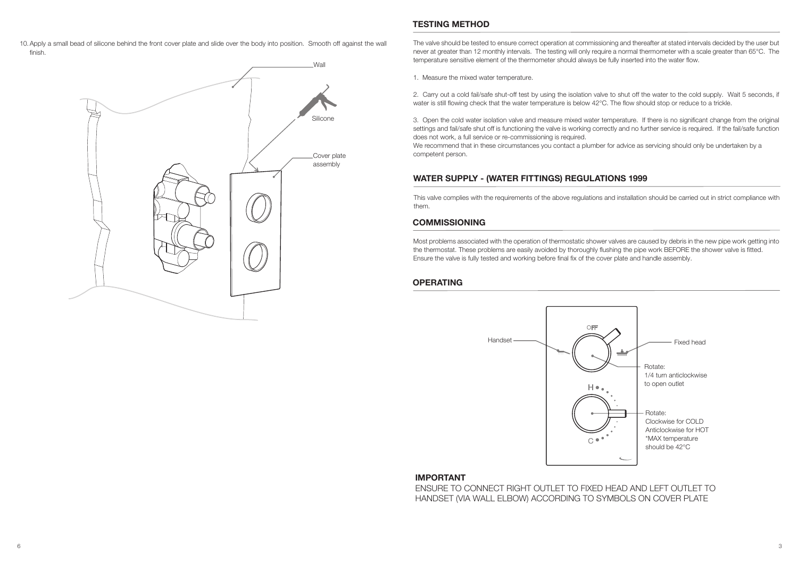HANDSET (VIA WALL ELBOW) ACCORDING TO SYMBOLS ON COVER PLATE

3

10.Apply a small bead of silicone behind the front cover plate and slide over the body into position. Smooth off against the wall finish.

#### **TESTING METHOD**

The valve should be tested to ensure correct operation at commissioning and thereafter at stated intervals decided by the user but never at greater than 12 monthly intervals. The testing will only require a normal thermometer with a scale greater than 65°C. The temperature sensitive element of the thermometer should always be fully inserted into the water flow.

1. Measure the mixed water temperature.

2. Carry out a cold fail/safe shut-off test by using the isolation valve to shut off the water to the cold supply. Wait 5 seconds, if water is still flowing check that the water temperature is below 42°C. The flow should stop or reduce to a trickle.

3. Open the cold water isolation valve and measure mixed water temperature. If there is no significant change from the original settings and fail/safe shut off is functioning the valve is working correctly and no further service is required. If the fail/safe function does not work, a full service or re-commissioning is required.

We recommend that in these circumstances you contact a plumber for advice as servicing should only be undertaken by a competent person.

# **WATER SUPPLY - (WATER FITTINGS) REGULATIONS 1999**

This valve complies with the requirements of the above regulations and installation should be carried out in strict compliance with them.

#### **COMMISSIONING**

Most problems associated with the operation of thermostatic shower valves are caused by debris in the new pipe work getting into the thermostat. These problems are easily avoided by thoroughly flushing the pipe work BEFORE the shower valve is fitted. Ensure the valve is fully tested and working before final fix of the cover plate and handle assembly.

#### **OPERATING**

**IMPORTANT** 



ENSURE TO CONNECT RIGHT OUTLET TO FIXED HEAD AND LEFT OUTLET TO